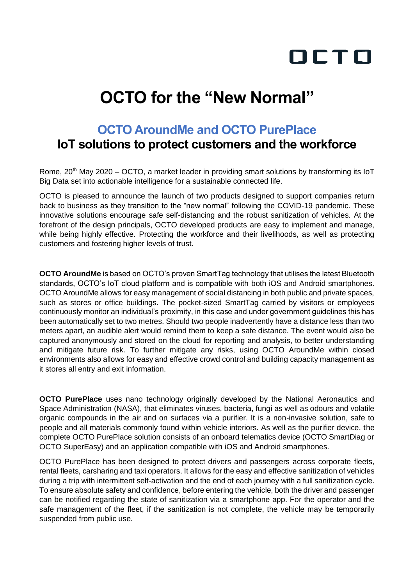# OCTO

## **OCTO for the "New Normal"**

### **OCTO AroundMe and OCTO PurePlace**

#### **IoT solutions to protect customers and the workforce**

Rome, 20<sup>th</sup> May 2020 – OCTO, a market leader in providing smart solutions by transforming its IoT Big Data set into actionable intelligence for a sustainable connected life.

OCTO is pleased to announce the launch of two products designed to support companies return back to business as they transition to the "new normal" following the COVID-19 pandemic. These innovative solutions encourage safe self-distancing and the robust sanitization of vehicles. At the forefront of the design principals, OCTO developed products are easy to implement and manage, while being highly effective. Protecting the workforce and their livelihoods, as well as protecting customers and fostering higher levels of trust.

**OCTO AroundMe** is based on OCTO's proven SmartTag technology that utilises the latest Bluetooth standards, OCTO's IoT cloud platform and is compatible with both iOS and Android smartphones. OCTO AroundMe allows for easy management of social distancing in both public and private spaces, such as stores or office buildings. The pocket-sized SmartTag carried by visitors or employees continuously monitor an individual's proximity, in this case and under government guidelines this has been automatically set to two metres. Should two people inadvertently have a distance less than two meters apart, an audible alert would remind them to keep a safe distance. The event would also be captured anonymously and stored on the cloud for reporting and analysis, to better understanding and mitigate future risk. To further mitigate any risks, using OCTO AroundMe within closed environments also allows for easy and effective crowd control and building capacity management as it stores all entry and exit information.

**OCTO PurePlace** uses nano technology originally developed by the National Aeronautics and Space Administration (NASA), that eliminates viruses, bacteria, fungi as well as odours and volatile organic compounds in the air and on surfaces via a purifier. It is a non-invasive solution, safe to people and all materials commonly found within vehicle interiors. As well as the purifier device, the complete OCTO PurePlace solution consists of an onboard telematics device (OCTO SmartDiag or OCTO SuperEasy) and an application compatible with iOS and Android smartphones.

OCTO PurePlace has been designed to protect drivers and passengers across corporate fleets, rental fleets, carsharing and taxi operators. It allows for the easy and effective sanitization of vehicles during a trip with intermittent self-activation and the end of each journey with a full sanitization cycle. To ensure absolute safety and confidence, before entering the vehicle, both the driver and passenger can be notified regarding the state of sanitization via a smartphone app. For the operator and the safe management of the fleet, if the sanitization is not complete, the vehicle may be temporarily suspended from public use.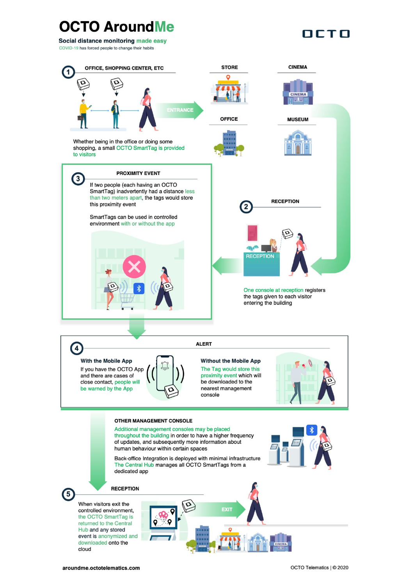## **OCTO AroundMe**

Social distance monitoring made easy

COVID-19 has forced people to change their habits



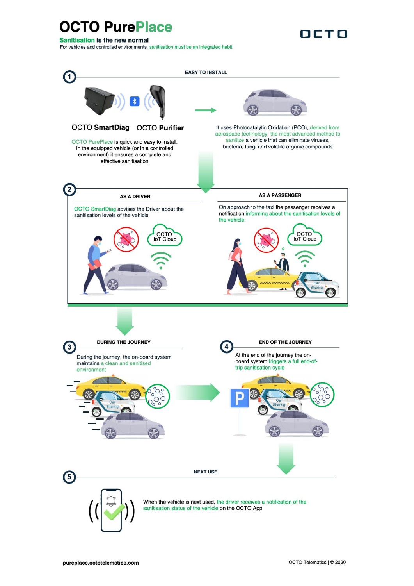### **OCTO PurePlace**

Sanitisation is the new normal

For vehicles and controlled environments, sanitisation must be an integrated habit

OCTO